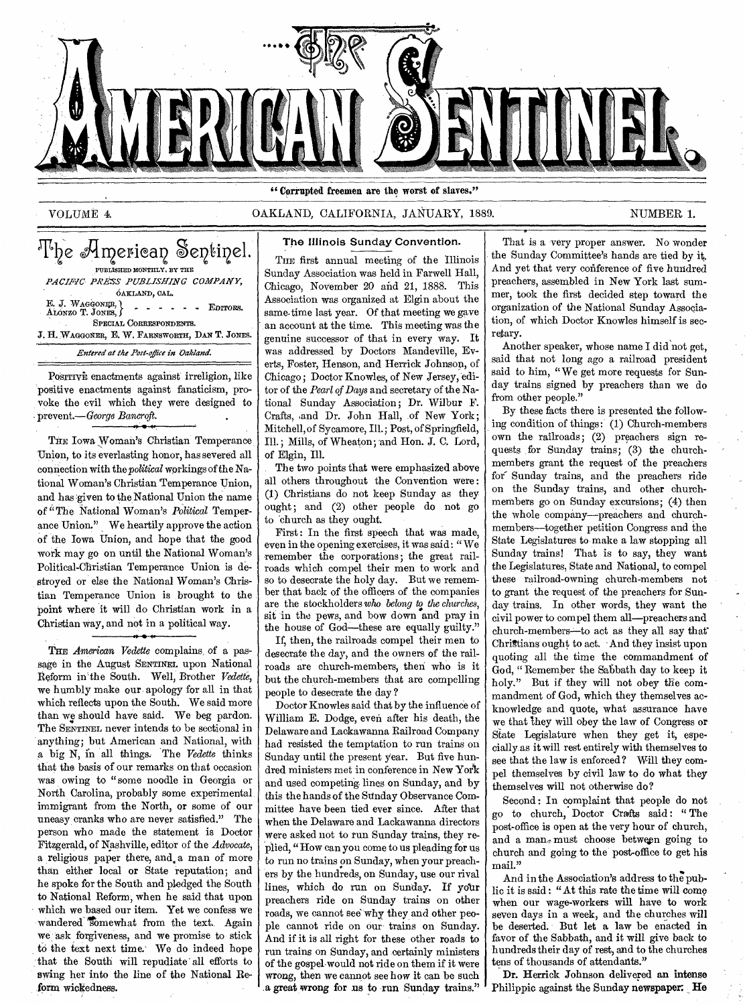

" Corrupted freemen are the worst of slaves."

# VOLUME 4. OAKLAND, CALIFORNIA, JANUARY, 1889. NUMBER 1.

The American Sentinel. PUBLISHED MONTHLY, BY THE *PACIFIC PRESS PUBLISHING COMPANY,*  OAKLAND, CAL. E. J. Waggoner,<br>Alonzo T. Jones,  $\overline{a}$   $\overline{a}$   $\overline{a}$   $\overline{a}$  $\overline{a}$ EDITORS. SPECIAL CORRESPONDENTS. J. H. WAGGONER, E. W. FARNSWORTH, DAN T. JONES. *Entered at the Post-office in Oakland.* 

POSITIVE enactments against irreligion, like positive enactments against fanaticism, provoke the evil which they were designed to prevent.—George *Bancroft.*  **• 4.** 

THE Iowa Woman's Christian Temperance Union, to its everlasting honor, has severed all connection with the *political* workings of the National Woman's Christian Temperance Union, and has given to the National Union the name of "The National Woman's *Political* Temperance Union." We heartily approve the action of the Iowa Union, and hope that the good work may go on until the National Woman's Political-Christian Temperance Union is destroyed or else the National Woman's Christian Temperance Union is brought to the point where it will do Christian work in a Christian way, and not in a political way.

THE *American Vedette* complains, of a passage in the August SENTINEL upon National Reform in the South. Well, Brother *Vedette,*  we humbly make our apology for all in that which reflects upon the South. We said more than we should have said. We beg pardon. The SENTINEL never intends to be sectional in anything; but American and National, with a big N, in all things. The *Vedette* thinks that the basis of our remarks on that occasion was owing to "some noodle in Georgia or North Carolina, probably some experimental immigrant from the North, or some of our uneasy cranks who are never satisfied." The person who made the statement is Doctor Fitzgerald, of Nashville, editor of the *Advocate,*  a religious paper there, and, a man of more than either local or State reputation; and he spoke for the South and pledged the South to National Reform, when he said that upon which we based our item. Yet we confess we wandered 'somewhat from the text.. Again we ask forgiveness, and we promise to stick to the text next time.' We do indeed hope that the South will repudiate all efforts to swing her into the line of the National Reform wickedness.

# The Illinois Sunday Convention.

THE first annual meeting of the Illinois Sunday Association was held in Farwell Hall, Chicago, November 20 and 21, 1888. This Association was organized at Elgin about the same-time last year. Of that meeting we gave an account at the time. This meeting was the genuine successor of that in every way. It was addressed by Doctors Mandeville, Everts, Foster, Henson, and Herrick Johnson, of Chicago ; Doctor Knowles, of New Jersey, editor of the *Pearl of Days* and secretary of the National Sunday Association; Dr. Wilbur F. Crafts, ,and Dr. John Hall, of New York; Mitchell, of Sycamore, Ill.; Post, of Springfield, Ill.; Mills, of Wheaton; and Hon. J. C. Lord, of Elgin, Ill.

The two points that were emphasized above all others throughout the Convention were : (1) Christians do not keep Sunday as they ought; and (2) other people do not go to 'church as they ought.

First: In the first speech that was made, even in the opening exercises, it was said: "We remember the corporations; the great railroads which compel their men to work and so to desecrate the holy day. But we remember that back of the officers of the companies are the stockholders *who belong to the churches,*  sit in the pews, and bow down and pray in the house of God—these are equally guilty."

If, then, the railroads compel their men to desecrate the day, and the owners of the railroads are church-members, then who is it but the church-members that are compelling people to desecrate the day ?

Doctor Knowles said that by the influence of William E. Dodge, even. after his death, the Delaware and Lackawanna Railroad Company had resisted the temptation to run trains on Sunday until the present year. But five hundred ministers met in conference in New York and used competing lines on Sunday, and by this the hands of the Sunday Observance Committee have been tied ever since. After that when the Delaware and Lackawanna directors were asked not to run Sunday trains, they replied, "How can you come to us pleading for us to run no trains on Sunday, when your preachers by the hundreds, on Sunday, use our rival lines, which do run on Sunday. If your preachers ride on Sunday trains on other roads, we cannot see" why they and other people cannot ride on our trains on Sunday. And if it is all right for these other roads to run trains on Sunday, and certainly ministers of the gospel would not ride on them if it were wrong, then we cannot see how it can be such a great wrong for ns to run Sunday trains."

That is a very proper answer. No wonder the Sunday Committee's hands are tied by it. And yet that very conference of five hundred preachers, assembled in New York last summer, took the first decided step toward the organization of the National Sunday Association, of which Doctor Knowles himself is secretary.

Another speaker, whose name I did not get, said that not long ago a railroad president said to him, "We get more requests for Sunday trains signed by preachers than we do from other people."

By these facts there is presented the following condition of things: (1) Church-members own the railroads; (2) preachers sign requests for Sunday trains; (3) the churchmembers grant the request of the preachers for Sunday trains, and the preachers ride on the Sunday trains, and other churchmembers go on Sunday excursions; (4) then the whole company—preachers and churchmembers—together petition Congress and the State Legislatures to make a law stopping all Sunday trains! That is to say, they want the Legislatures, State and National, to compel these railroad-owning church-members not to grant the request of the preachers for Sunday trains. In other words, they want the civil power to compel them all—preachers and church-members—to act as they all say that Christians ought to act. - And they insist upon quoting all the time the commandment of God, " Remember the Sabbath day to keep it holy." But if they will not obey the commandment of God, which they themselves acknowledge and quote, what assurance have we that They will obey the law of Congress or State Legislature when they get it, especially as it will rest entirely with themselves to see that the law is enforced? Will they compel themselves by civil law to do what they themselves will not otherwise do?

Second : In complaint that people do not go to church, Doctor Crafts said : " The post-office is open at the very hour of church, and a man<sub>«</sub> must choose between going to church and going to the post-office to get his mail."

And in the Association's address to the public it is said : "At this rate the time will come when our wage-workers will have to work seven days in a week, and the churches will be deserted. But let a law be enacted in favor of the Sabbath, and it will give back to hundreds their day of rest, and to the churches tens of thousands of attendants."

Dr. Herrick Johnson delivered an intense Philippic against the Sunday newspaper: He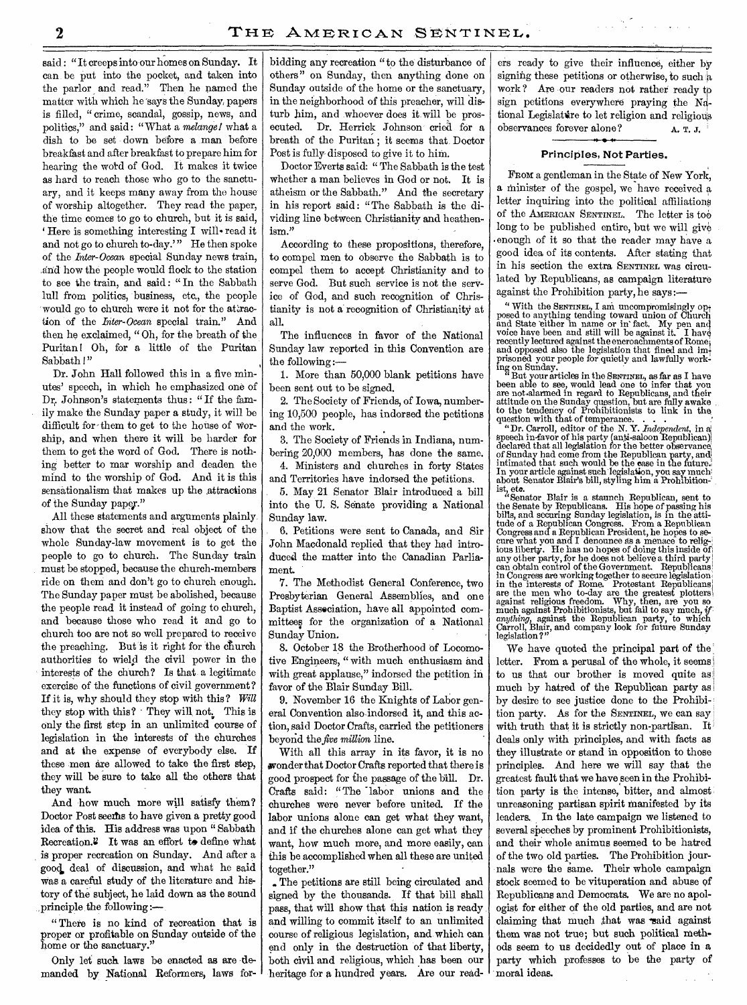said : "It creeps into our homes on Sunday. It can be put into the pocket, and taken into the parlor and read." Then he named the matter with which he 'says the Sunday, papers is filled, " crime, scandal, gossip, news, and politics," and said: "What a *melange!* what a dish to be set down before a man before breakfast and after breakfast to prepare him for hearing the word of God. It makes it twice as hard to reach those who go to the sanctuary, and it keeps many away from the house of worship altogether. They read the paper, the time comes to go to church, but it is said, Here is something interesting I will- read it and not go to church to-day." He then spoke of the *Inter-Ocean* special Sunday news train, And how the people would flock to the station to see the train, and said : " In the Sabbath lull from politics, business, etc., the people would go to church were it not for the attraction of the *Inter-Ocean* special train." And then he exclaimed, "Oh, for the breath of the Puritan! Oh, for a little of the Puritan Sabbath !"

Dr. John Hall followed this in a five minutes' speech, in which he emphasized one of Dr. Johnson's statements thus: "If the family make the Sunday paper a study, it will be difficult for 'them to get to the house of worship, and when there it will be harder for them to get the word of God. There is nothing better to mar worship and deaden the mind to the worship of God. And it is this sensationalism that makes up the Attractions of the Sunday pape;."

All these statements and arguments plainly show that the secret and real object of the whole Sunday-law movement is to get the people to go to church. The Sunday train must be stopped, because the church-members ride on them and don't go to church enough. The Sunday paper must be abolished, because the people read it instead of going to church, and because those who read it and go to church too are not so well prepared to receive the preaching. But is it right for the church authorities to wield the civil power in the interests of the church? Is that a legitimate exercise of the functions of civil government? If it is, why should they stop with this? *Will*  they stop with this? 'They will not, This is only the first step in an unlimited course of legislation in the interests of the churches and at the expense of everybody else. If these men are allowed to take the first step, they will be sure to take all the others that they want.

And how much more will satisfy them? Doctor Post seedis to have given a pretty good idea of this. His address was upon " Sabbath Recreation. $2$  It was an effort to define what is proper recreation on Sunday. And after a good, deal of discussion, and what he said was a careful study of the literature and history of the subject, he laid down as the sound principle the following :—

" There is no kind of recreation that is proper or profitable on Sunday outside of the home or the sanctuary."

Only let such laws be enacted as are demanded by National Reformers, laws forbidding any recreation "to the disturbance of others" on Sunday, then anything done on Sunday outside of the home or the sanctuary, in the neighborhood of this preacher, will disturb him, and whoever does it will be prosecuted. Dr. Herrick Johnson cried for a breath of the Puritan ; it seems that Doctor Post is fully disposed to give it to him.

Doctor Everts said: " The Sabbath is the test whether a man believes in God or not. It is atheism or the Sabbath." And the secretary in his report said: "The Sabbath is the dividing line between Christianity and heathenism."

According to these propositions, therefore, to compel men to observe the Sabbath is to compel them to accept Christianity and to serve God. But such service is not the service of God, and such recognition of Christianity is not a recognition of Christianity at all.

The influences in favor of the National Sunday law reported in this Convention are the following:-

1. More than 50,000 blank petitions have been sent out to be signed.

2. The Society of Friends, of Iowa, numbering 10,500 people, has indorsed the petitions and the work.

3. The Society of Friends in Indiana, numbering 20,000 members, has done the same. 4. Ministers and churches in forty States

and Territories have indorsed the petitions. 5. May 21 Senator Blair introduced a bill

into the U. S. Senate providing a National Sunday law.

6. Petitions were sent to Canada, and Sir John Macdonald replied that they had introduced the matter into the Canadian Parliament.

7. The Methodist General Conference, two Presbyterian General Assemblies, and one Baptist Association, have all appointed committees for the organization of a National Sunday Union.

8. October 18 the Brotherhood of Locomotive Engineers, " with much enthusiasm and with great applause," indorsed the petition in favor of the Blair Sunday Bill..

9. November 16 the Knights of Labor general Convention also-indorsed it, and this action, said Doctor Crafts, carried the petitioners beyond the five *million* line.

With all this array in its favor, it is no wonder that Doctor Crafts reported that there is good prospect for the passage of the bill. Dr. Crafts said: "The labor unions and the churches were never before united. If the labor unions alone can get what they want, and if the churches alone can get what they want, how much more, and more easily, can this be accomplished when all these are united together."

The petitions are still being circulated and signed by the thousands. If that bill shall pass, that will show that this nation is ready and willing to commit itself to an unlimited course of religious legislation, and which can end only in the destruction of that liberty, both civil and religious, which has been our heritage for *a* hundred years. Are our read-

ers ready to give their influence, either by signing these petitions or otherwise, to such a work? Are our readers not rather ready to sign petitions everywhere praying the National Legislatire to let religion and religions  $\alpha$  observances forever alone? A. T. J.

## Principles, Not Parties.

From a gentleman in the State of New York, a minister of the gospel, we have received a letter inquiring into the political affiliations of the AMERICAN SENTINEL. The letter is too long to be published entire, but we will give .enough of it so that the reader may have a good idea of its contents. After stating that in his section the extra SENTINEL was circulated by Republicans, as campaign literature against the Prohibition party, he says :—

" With the SENTINEL, I am uncompromisingly opt posed to anything tending toward union of Church and State 'either in name or in' fact. My pen and voice have been and still will be against it. I have recently lectured against the encroachments of Rome; and opposed also the legislation that fined and imprisoned your people for quietly and lawfully work-ing on Sunday.

"But your articles in the SENTINEL, as far as I have<br>been able to see, would lead one to infer that you<br>are not-alarmed in regard to Republicans, and their<br>attitude on the Sunday question, but are fully awake<br>to the tende

"Dr. Carroll, editor of the N. Y. *Independent,* in a speech in-favor of his party (ang-saloon Republican), declared that all legislation for the better observance; of Sunday had come from the Republican party, and intimated that such would be the case in the future.' In your article against such legislation, you say much about Senator Blair's bill, styling him a Prohibition-

ist, eta. "Senator Blair is a staunch Republican, sent to the Senate by Republicans. His hope of passing his bills, and securing Sunday legislation, is in the attitude of a Republican Congress. From a Republican Congress and a Republican President, he hopes to se-cure what you and I denounce as a menace to religious liberty. He has no hopes of doing this inside of any other party, for he does not believe a third party; can obtain control of the Government. Republicans' in Congress are working together to secure legislation<br>in the interests of Rome. Protestant Republicans<br>are the men who to-day are the greatest plotters<br>against religious freedom. Why, then, are you so<br>much against Probibi

We have quoted the principal part of the letter. From a perusal of the whole, it seems to us that our brother is moved quite as much by hatred of the Republican party as by desire to see justice done to the Prohibition party. As for the SENTINEL, we can say with truth that it is strictly non-partisan. It deals only with principles, and with facts as they illustrate or stand in opposition to those principles. And here we will say that the greatest fault that we have seen in the Prohibition party is the intense, bitter, and almost unreasoning partisan spirit manifested by its leaders. In the late campaign we listened to several speeches by prominent Prohibitionists, and their whole animus seemed to be hatred of the two old parties. The Prohibition journals were the same. Their whole campaign stock seemed to be vituperation and abuse of Republicans and Democrats. We are no apologist for either of the old parties, and are not claiming that much that was said against them was not true; but such political methods seem to us decidedly out of place in a party which professes to be the party of moral ideas.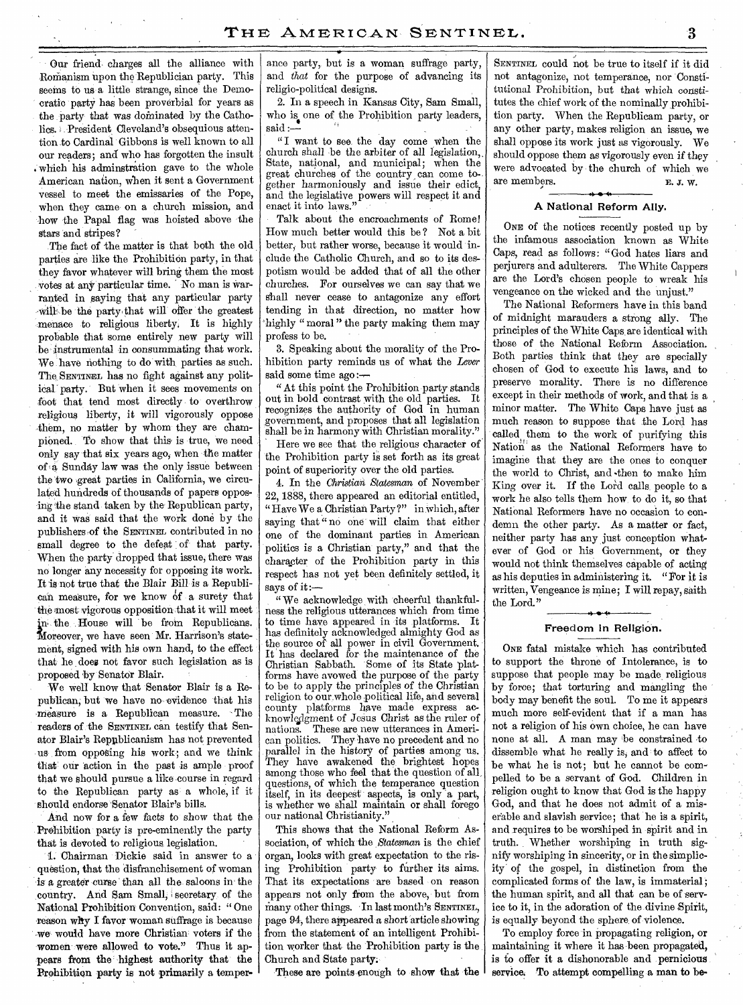Our friend charges all the alliance with Romanism upon the Republician party. This seems to us a little strange, since the Democratic party has been proverbial for years as the party that was dominated by the Catholics. President Cleveland's obsequious attention to Cardinal Gibbons is well known to all our readers; and who has forgotten the insult . which his adminstration gave to the whole American nation, when it sent a Government vessel to meet the emissaries of the Pope, When they came on a church mission, and how the Papal flag was hoisted above the stars and stripes?

The fact of the matter is that both the old parties are like the Prohibition party, in that they favor whatever will bring them the most votes at any particular time. No man is warranted in saying that any particular party will be the party that will offer the greatest menace to religious liberty. It is highly probable that some entirely new party will be instrumental in consummating that work. We have nothing to do with parties as such. The SENTINEL has no fight against any political party. But when it sees movements on foot that tend most directly to overthrow religious liberty, it will vigorously oppose them, no matter by whom they are championed. To show that this is true, we need only say that six years ago, when the matter of a Sunday law was the only issue between the two great parties in California, we circulated hundreds of thousands of papers opposing the stand taken by the Republican party, and it was said that the work done by the publishers of the SENTINEL contributed in no small degree to the defeat of that party. When the party dropped that issue, there was no longer any necessity for opposing its work. It is not true that the Blair Bill is a Republican measure, for we know of a surety that the most vigerous opposition that it will meet in the House will be from Republicans. Moreover, we have seen Mr. Harrison's statement, signed with his own hand, to the effect that he does not favor such legislation as is proposed by Senator Blair.

'We well know that Senator Blair is a Republican; but we have no evidence that his Measure is a Republican measure. The readers of the SENTINEL can testify that Senator Blair's Republicanism has not prevented us from opposing his work; and we think that our action in the past is ample proof that we should pursue a like course in regard to the Republican party as a whole, if it should endorse 'Senator Blair's bills.

And now for a few facts to show that the. Prohibition party is pre-eminently the party that is devoted to religious legislation.

1. Chairman Dickie said in answer to a question, that the disfranchisement of woman is a greater curse than all the saloons in' the country. And Sam Small, secretary of the National Prohibition Convention, said: " One reason why I favor woman suffrage is because we would have more Christian voters if the women were allowed to vote." Thus it appears from the highest authority that the Prohibition party is not primarily a temper-

ance party, but is a woman suffrage party, and *that* for the purpose of advancing its religio-political designs.

2. In a speech in Kansas City, Sam Small, who is one of the Prohibition party leaders, said:—

"I want to see the day come when the church shall be the arbiter of all legislation, State, national, and municipal; when the great churches of the country can come together harmoniously and issue their edict, and the legislative powers will respect it and enact it into laws."

Talk about the encroachments *of* Rome! How much better would this be ? Not a bit better, but rather worse, because it would include the Catholic Church, and so to its despotism would be added that of all the other churches. For ourselves we can say that we shall never cease to antagonize any effort tending in that direction, no matter how highly " moral" the party making them may profess to be.

3. Speaking about the morality of the Prohibition party reminds us of what the *Lever*  said some time ago:--

"At this point the Prohibition party stands out in bold contrast with the old parties. It recognizes the authority of God in human government, and proposes that all legislation shall be in harmony with Christian morality."

Here we see that the religious character of the Prohibition party is set forth as its great point of superiority over the old parties.

4. In the *Christian Statesman* of November' 22, 1888, there appeared an editorial entitled, "Have We a Christian Party?" in which, after saying that " no one will claim that either one of the dominant parties in American politics is a Christian party," and that the character of the Prohibition party in this respect has not yet been definitely settled, it says of it:—

" We acknowledge with cheerful thankfulness the religious utterances which from time to time have appeared in its platforms. It has definitely acknowledged almighty God as the source of all power in civil Government. It has declared for the maintenance of the Christian Sabbath. Some of its State platforms have avowed the purpose of the party to be to apply the principles of the Christian religion to our whole political life, and several county platforms have made express acknowledgment of Jesus Christ as the ruler of nations. These are new utterances in Ameri-They have no precedent and no parallel in the history of parties among us. They have awakened the brightest hopes among those who feel that the question of all, questions, of which the temperance question itself, in its deepest aspects, is only a part, is whether we shall maintain or shall forego our national Christianity."

This shows that the National Reform Association, of which the *Statesman* is the chief organ, looks with great expectation to the rising Prohibition party to further its aims. That its expectations are based on reason appears not only from the above, but from many other things. In last month's SENTINEL, page 94, there appeared a short article showing from the statement of an intelligent Prohibition worker that the Prohibition party is the Church and State party.

These are points enough to show that the

SENTINEL could not be true to itself if it did not antagonize, not temperance, nor Constitutional Prohibition, but that which constitutes the chief work of the nominally prohibition party. When the Republicam party, or any other party, makes religion an issue, we shall oppose its work just as vigorously. We should oppose them as vigorously even if they were advocated by the church of which we are members. E. J. W. -4 • •

## A National Reform Ally.

ONE of the notices recently posted up by the infamous association known as White Caps, read as follows: "God hates liars and perjurers and adulterers. The White Cappers are the Lord's chosen people to wreak his vengeance on the wicked and the unjust."

The National Reformers have in this band of midnight marauders a strong ally. The principles of the White Caps are identical with those of the National Reform Association. Both parties think that they are specially chosen of God to execute his laws, and to preserve morality. There is no difference except in their methods of work, and that is a minor matter. The White Caps have just as much reason to suppose that the Lord has called, them to the work of purifying this Nation' as the National Reformers have to imagine that they are the ones to conquer the world to Christ, and -then to make him King over it. If the Lord calls people to a work he also tells them how to do it, so that National Reformers have no occasion to condemn the other party. As a matter or fact, neither party has any just conception whatever of God or his Government, or they would not think themselves capable of acting as his deputies in administering it. "For it is written, Vengeance is mine; I will repay, saith the Lord."

#### Freedom in Religion.

ONE fatal mistake which has contributed to support the throne of Intolerance, is to suppose that people may be made religious by force; that torturing and mangling the body may benefit the soul. To me it appears much more self-evident that if a man has not a religion of his own choice, he can have none at all. A man may be constrained to dissemble what he really is, and to affect to be what he is not; but he cannot be compelled to be a servant of God. Children in religion ought to know that God is the happy God, and that he does not admit of a miserable and slavish service; that he is a spirit, and requires to be worshiped in spirit and in truth.. Whether worshiping in truth signify worshiping in sincerity, or in the simplicity of the gospel, in distinction from the complicated forms of the law, is immaterial; the human spirit, and all that can be of service to it, in the adoration of the divine Spirit, is equally beyond the sphere of violence.

To employ force in propagating religion, or maintaining it where it has been propagated, is to offer it a dishonorable and pernicious service. To attempt compelling a man to be-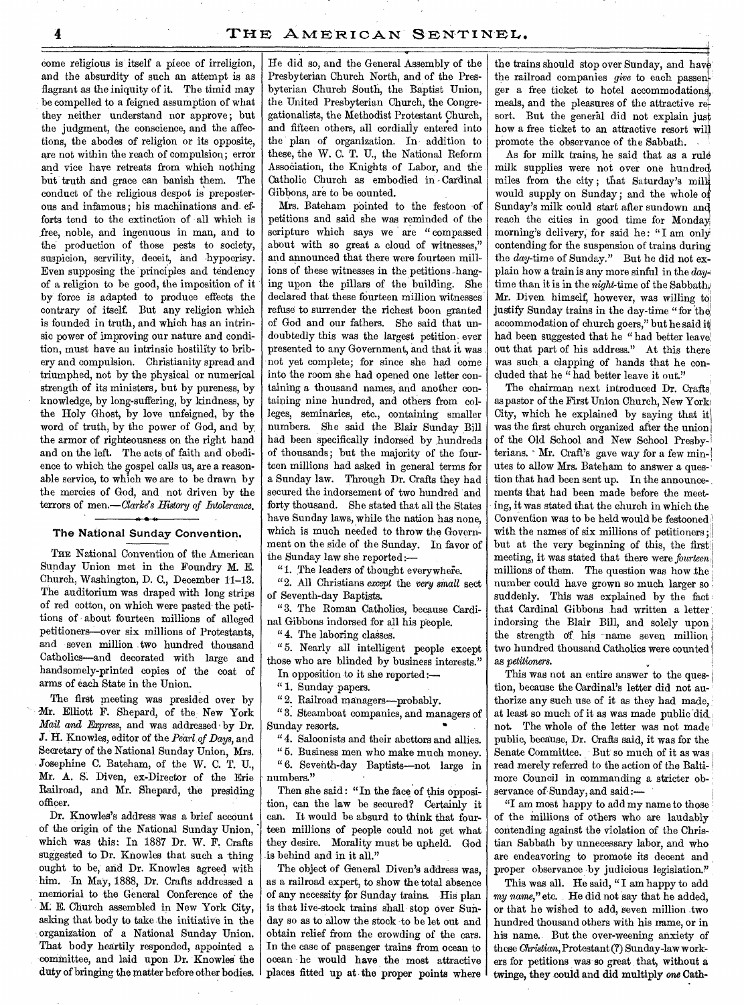come religious is itself a piece of irreligion, and the absurdity of such an attempt is as flagrant as the iniquity of it. The timid may be compelled to a feigned assumption of what they neither understand nor approve; but the judgment, the conscience, and the affections, the abodes of religion or its opposite, are not within the reach of compulsion; error and vice have retreats from which nothing but truth and grace can banish them. The conduct of the religious despot is preposterous and infamous ; his machinations and efforts tend to the extinction of all which is free, noble, and ingenuous in man, and to the production of those pests to society, suspicion, servility, deceit, and hypocrisy. Even supposing the principles and tendency of a religion to be good, the imposition of it by force is adapted to produce effects the contrary of itself. But any religion which is founded in truth, and which has an intrinsic power of improving our nature and condition, must have an intrinsic hostility to bribery and compulsion. Christianity spread and triumphed, not by the physical or numerical strength of its ministers, but by pureness, by knowledge, by long-suffering, by kindness, by the Holy Ghost, by love unfeigned, by the word of truth, by the power of God, and by the armor of righteousness on the right hand and on the left. The acts of faith and obedience to which the gospel calls us, are a reasonable service, to which we are to be drawn by the mercies of God, and not driven by the terrors of *men.—Clarke's History of Intolerance.* 

#### **III**  The National Sunday Convention.

THE National Convention of the American Sunday Union met in the Foundry M. E. Church, Washington, D. C., December 11-13. The auditorium was draped with long strips of red cotton, on which were pasted the petitions of about fourteen millions of alleged petitioners—over six millions of Protestants, and seven million two hundred thousand Catholics—and decorated with large and handsomely-printed copies of the coat of arms of each State in the Union.

The first meeting was presided over by 'Mr. Elliott F. Shepard, of the New York *Mail and Express,* and was addressed by Dr. J. **H.** Knowles, editor of the *Piarl of Days,* and Secretary of the National Sunday Union, Mrs. Josephine C. Bateham, of the W. C. T. U., Mr. A. S. Diven, ex-Director of the Erie Railroad, and Mr. Shepard, the presiding officer.

Dr. Knowles's address was a brief account of the origin of the National Sunday Union, which was this: In 1887 Dr. W. P. Crafts suggested to Dr. Knowles that such a thing ought to be, and Dr. Knowles agreed with him. In May, 1888, Dr. Crafts addressed a memorial to the General Conference of the M. E. Church assembled in New York City, asking that body to take the initiative in the organization of a National Sunday Union. That body heartily responded, appointed a committee, and laid upon Dr. Knowles' the duty of bringing the matter before other bodies. He did so, and the General Assembly of the Presbyterian Church North, and of the Presbyterian Church South, the Baptist Union, the United Presbyterian Church, the Congregationalists, the Methodist Protestant Church, and fifteen others, all cordially entered into the plan of organization. In addition to these, the W. C. T. U., the National Reform Association, the Knights of Labor, and the Catholic Church as embodied in - Cardinal Gibbons, are to be counted.

Mrs. Bateham pointed to the festoon of petitions and said she was reminded of the scripture which says we are "compassed about with so great a cloud of witnesses," and announced that there were fourteen millions of these witnesses in the petitions-hanging upon the pillars of the building. She declared that these fourteen million witnesses refuse to surrender the richest boon granted of God and our fathers. She said that undoubtedly this was the largest petition: ever presented to any Government, and that it was not yet complete; for since she had come into the room she had opened one letter containing a thousand names, and another containing nine hundred, and others from colleges, seminaries, etc., containing smaller numbers. She said the Blair Sunday Bill had been specifically indorsed by hundreds of thousands; but the majority of the fourteen millions had asked in general terms for a Sunday law. Through Dr. Crafts they had secured the indorsement of two hundred and forty thousand. She stated that all the States have Sunday laws, while the nation has none, which is much needed to throw the Government on the side of the Sunday. In favor of the Sunday law she reported

"1. The leaders of thought everywhere.

"2. All Christians *except* the *very small* sect of Seventh-day Baptists.

"3. The Roman Catholics, because Cardinal Gibbons indorsed for all his people.

" 4. The laboring classes.

" 5. Nearly all intelligent people except those who are blinded by business interests."

In opposition to it she reported:—

" 1. Sunday papers.

" 2. Railroad managers—probably.

"3. Steamboat companies, and managers of Sunday resorts.

"4. Saloonists and their abettors and allies.

" 5. Business men who make much money.

" 6. Seventh-day Baptists—not large in numbers."

Then she said: "In the face of this opposition, can the law be secured? Certainly it can. It would be absurd to think that fourteen millions of people could not get what they desire. Morality must be upheld. God is behind and in it all."

The object of General Diven's address was, as a railroad expert, to show the total absence of any necessity for Sunday trains. His plan is that live-stock trains shall stop over Sunday so as to allow the stock -to be let out and obtain relief from the crowding of the cars. In the case of passenger trains from ocean to ocean he would have the most attractive places fitted up at the proper points where

the trains should stop over Sunday, and hav the railroad companies *give* to each passenger a free ticket to hotel accommodations', meals, and the pleasures of the attractive resort. But the general did not explain just how a free ticket to an attractive resort will promote the observance of the Sabbath.

As for milk trains, he said that as a rule milk supplies were not over one hundred miles from the city ; that Saturday's milk would supply on Sunday; and the whole of Sunday's milk could start after sundown and reach the cities in good time for Monday morning's delivery, for said he: "I am only contending for the suspension of trains during the day-time of Sunday." But he did not explain how a train is any more sinful in the  $day$ time than it is in the *night*-time of the Sabbath, Mr. Diven himself, however, was willing to justify Sunday trains in the day-time "for the accommodation of church goers," but he said it had been suggested that he "had better leave out that part of his address." At this there was such, a clapping of hands that he concluded that he " had better leave it out."

The chairman next introduced Dr. Crafts as pastor of the First Union Church, New York' City, which he explained by saying that it was the first church organized after the union; of the Old School and New School Presbyterians.  $Mr$ . Craft's gave way for a few minutes to allow Mrs. Bateham to answer a question that had been sent up. In the announcements that had been made before the meeting, it was stated that the church in which the Convention was to be held would be festooned with the names of six millions of petitioners; but at the very beginning of this, the first' meeting, it was stated that there were *fourteen:*  millions of them. The question was how the number could have grown so much larger so suddenly. This was explained by the fact that Cardinal Gibbons had written a letter indorsing the Blair Bill, and solely upon the strength of his name seven million two hundred thousand Catholics were counted as *petitioners.* 

This was not an entire answer to the question, because the Cardinal's letter did not authorize any such use of it as they had made, at least so much of it as was made public did. not. The whole of the letter was not made public, because, Dr. Crafts said, it was for the Senate Committee. But so much of it as was read merely referred to the action of the Baltimore Council in commanding a stricter observance of Sunday, and said :—

"I am most happy to add my name to those of the millions of others who are laudably contending against the violation of the Christian Sabbath by unnecessary labor, and who are endeavoring to promote its decent and proper observance by judicious legislation."

This was all. He said, "I am happy to add my *name," etc.* He did not say that he added, or that he wished to add, seven million -two hundred thousand others with his name, or in his name. But the over-weening anxiety of these *Christian,* Protestant (?) Sunday-law workers for petitions was so great that, without a twinge, they could and did multiply *one* Cath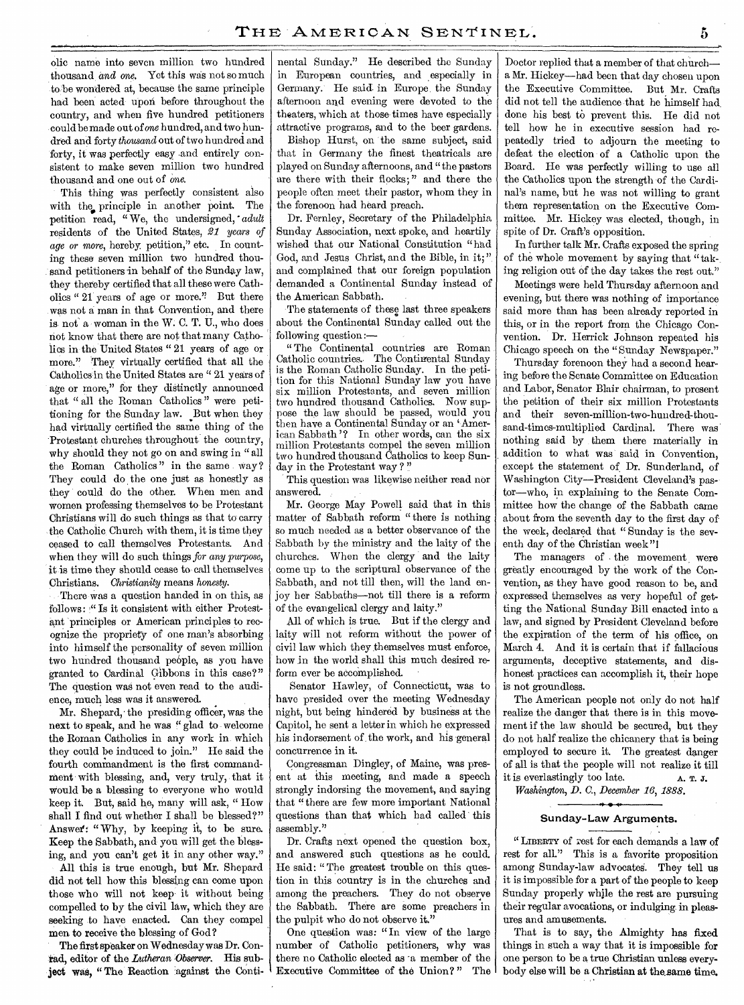olic name into seven million two hundred thousand *and one.* Yet this was not so much to be wondered at, because the same principle had been acted upon before throughout the country, and when five hundred petitioners could be made out of *one* hundred, and two hundred and forty *thousand* out of two hundred and forty, it was perfectly easy and entirely consistent to make seven million two hundred thousand and one out of *one.* 

This thing was perfectly consistent also with the. principle in another point. The petition read, " We, the undersigned, *'adult*  residents of the United States, *21 years of age or more,* hereby, petition," etc. In counting these seven million two hundred thousand petitioners in behalf of the Sunday law, they thereby certified that all these were Catholics " 21 years of age or more." But there was not a man in that Convention, and there is- not' a woman in the W. C. T. U., who does not know that there are not that many Catholics in the United States " 21 years of age or more." They virtually certified that all the Catholics in the United States are " 21 years of age or more," for they distinctly announced that "all the Roman Catholics" were petitioning for the Sunday law. But when they had virtually certified the same thing of the Protestant churches throughout the country, why should they not go on and swing in "all the Roman Catholics" in the same way? They could do the one just as honestly as they could do the other. When men and women professing themselves to be Protestant Christians will do such things as that to carry the Catholic. Church with them, it is time they ceased to call themselves Protestants. And when they will do such things *for any purpose,*  it is time they should cease to call themselves Christians. *Christianity* means *honesty.* 

There was a question handed in on this, as follows:  $\cdot$ " Is it consistent with either Protestant 'principles or American principles to recognize the propriety of one man's absorbing into himself the personality of seven million two hundred thousand pe6ple, as you have granted to Cardinal Gibbons in this case?" The question was not even read to the audience, much less was it answered.

Mr. Shepard, the presiding officer, was the next to speak, and he was "glad to welcome the Roman Catholics in any work in which they could be induced to join." He said the fourth commandment is the first commandment with blessing, and, very truly, that it would be a blessing to everyone who would keep it. But, said he, many will ask, " How shall I find out whether I shall be blessed?" Answer: "Why, by keeping it, to be sure. Keep the Sabbath, and you will get the blessing, and you can't get it in any other way." All this is true enough, but Mr. Shepard

did not tell how this blessing can come upon those who will not keep it without being compelled to by the civil law, which they are seeking to have enacted. Can they compel men to receive the blessing of God?

The first speaker on Wednesday was Dr. Contad, editor of the *Lutheran Observer.* His subject was, "The Reaction against the Conti-

nental Sunday." He described the Sunday in European countries, and especially in Germany. He said- in Europe, the Sunday afternoon and evening were devoted to the theaters, which at those times have especially attractive programs, and to the beer gardens.

Bishop Hurst, on 'the same subject, said that in Germany the finest theatricals are played on Sunday afternoons, and " the pastors are there with their flocks; " and there the people often meet their pastor, whom they in the forenoon had heard preach.

Dr. Fernley, Secretary of the Philadelphia Sunday Association, next spoke, and heartily wished that our National Constitution "had God, and Jesus Christ, and the Bible, in it; " and complained that our foreign population demanded a Continental Sunday instead of the American Sabbath.

The statements of these last three speakers about the Continental Sunday called out the following question :—

" The Continental countries are Roman Catholic countries.. The Continental Sunday is the Roman Catholic Sunday. In the-petition for this National Sunday law you have six million Protestants, and seven million two hundred thousand Catholics. Now suppose the law should be passed, would you then have a Continental Sunday or an 'American Sabbath'? In other words, can the six million Protestants compel the seven million two hundred thousand Catholics to keep Sunday in the Protestant way?"

This question was likewise neither read nor answered.

Mr. George May Powell said that in this matter of Sabbath reform " there is nothing so much needed as a better observance of the Sabbath by the ministry and the laity of the churches. When the clergy and the laity come up to the scriptural observance of the Sabbath, and not till then, will the land enjoy her Sabbaths—not till there is a reform of the evangelical clergy and laity."

All of which is true. But if the clergy and laity will not reform without the power of civil law which they themselves must enforce, how in the world shall this much desired reform ever be accomplished.

Senator Hawley, of Connecticut, was to have presided over the meeting Wednesday night, but being hindered by business at the Capitol, he sent a letter in which he expressed his indorsement of the work, and his general concurrence in it.

Congressman Dingley, of Maine, was present at this meeting, and made a speech strongly indorsing the movement, and saying that "there are few more important National questions than that which had called this assembly."

Dr. Crafts next opened the question box, and answered such questions as he could. He said: "The greatest trouble on this question in this country is in the churches and among the preachers. They do not observe the Sabbath. There are some preachers in the pulpit who do not observe it."

One question was: "In view of the large number of Catholic petitioners, why was there no Catholic elected as a member of the Executive Committee of the Union?" The

Doctor replied that a member of that church a Mr. Hickey—had been that day chosen upon the Executive Committee. But Mr. Crafts did not tell the audience that he himself had done his best to prevent this. He did not tell how he in executive session had repeatedly tried to adjourn the meeting to defeat the election of a Catholic upon the Board. He was perfectly willing to use all the Catholics upon the strength of the Cardinal's name, but he was not willing to grant them representation on the Executive Committee. Mr. Hickey was elected, though, in spite of Dr. Craft's opposition.

In further talk Mr. Crafts exposed the spring of the whole movement by saying that " taking religion out of the day takes the rest out."

Meetings were held Thursday afternoon and evening, but there was nothing of importance said more than has been already reported in this, or in the report from the Chicago Convention. Dr. Herrick Johnson repeated his Chicago speech on the "Sunday Newspaper."

Thursday forenoon they had a second hearing before the Senate Committee on Education and Labor, Senator Blair chairman, to present the petition of their six million Protestants and their seven-million-two-hundred-thousand-times-multiplied Cardinal. There was' nothing said by them there materially in addition to what was said in Convention, except the statement of Dr. Sunderland, of Washington City—President Cleveland's pastor—who, in explaining to the Senate Committee how the change of the Sabbath came about from the seventh day to the first day of the week, declared that " Sunday is the seventh day of the Christian week "1

The managers of the movement were greatly encouraged by the work of the Convention, as they have good reason to be, and expressed themselves as very hopeful of getting the National Sunday Bill enacted into a law, and signed by President Cleveland before the expiration of the term of his office, on March 4. And it is certain that if fallacious arguments, deceptive statements, and dishonest practices can accomplish it, their hope is not groundless.

The American people not only do not half realize the danger that there is in this movement if the law should be secured, but they do not half realize the chicanery that is being employed to secure it. The greatest danger of all is that the people will not realize it till it is everlastingly too late. A. T. J.

*Washington, D. C., December 16, 1888.* 

### Sunday-Law Arguments.

"LIBERTY of rest for each demands a law of rest for all." This is a favorite proposition among Sunday-law advocates. They tell us it is impossible for a part of the people to keep Sunday properly while the rest are pursuing their regular avocations, or indulging in pleasures and amusements.

That is to say, the Almighty has fixed things in such a way that it is impossible for one person to be a true Christian unless everybody else will be a Christian at the same time.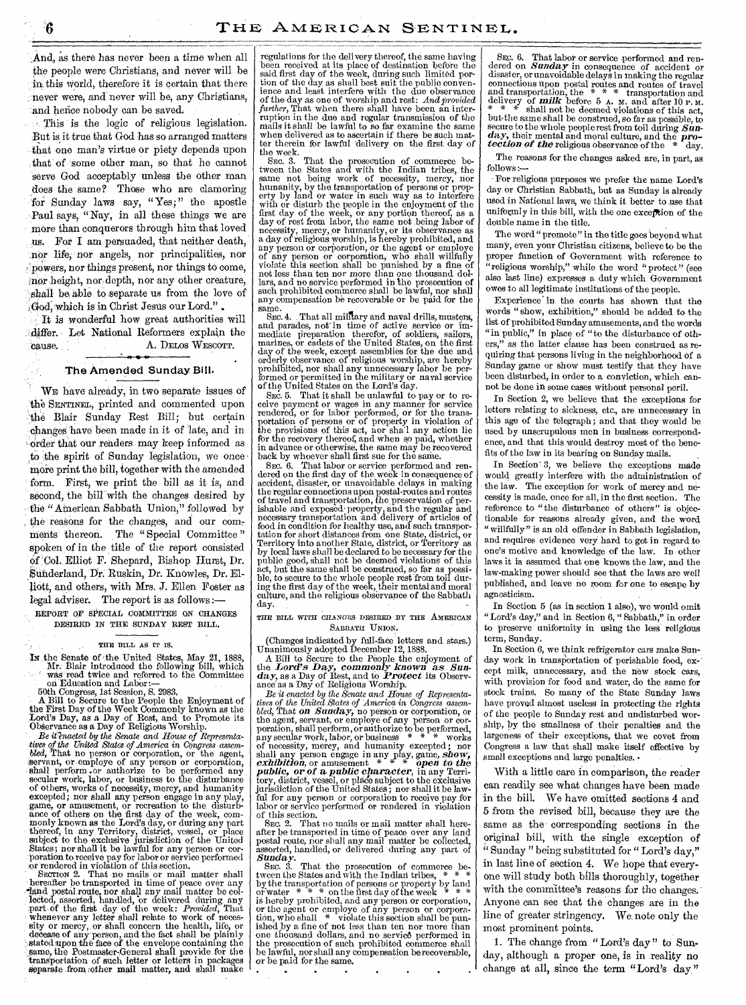And, as there has never been a time when all the people were Christians, and never will be in, this world, therefore it is certain that there , never were, and never will be, any Christians, and hence nobody can be saved.

• This is the logic of religious legislation. But is it true that God has so arranged matters that one man's virtue or piety depends upon that of some other man, so that he cannot serve God acceptably unless the other man does the same? Those who are clamoring for Sunday laws say, " Yes; " the apostle Paul says, "Nay, in all these things we are more than conquerors through him that loved us. For I am persuaded, that neither death, nor life; nor angels, nor principalities, nor r'powers, nor things present, nor things to come, .inor height, nor, depth, nor any other creature, :shall be, able to separate us from the love of God, which is in Christ Jesus our Lord.".

It is wonderful how great authorities will ,differ. Let National Reformers explain the cause. A. DELOS WESCOTT.

## The Amended Sunday Bill.

WE have already, in two separate issues of the SENTINEL, printed and commented upon :the Blair Sunday Rest Bill; but certain changes have been made in it of late, and in 'order that our readers may keep informed as to the spirit of Sunday legislation, we once more print the bill, together with the amended form. First, we print the bill as it is, and second, the bill'with the changes desired by the "American Sabbath Union," followed by the reasons for the changes, and our comments thereon. The "Special Committee" spoken of in the title of the report consisted Of 'Col. Elliot F. Shepard, Bishop lIurst, Dr. Sunderland, Dr. Ruskin, Dr. Knowles, Dr. Elliott, and others, with Mrs. J. Ellen Foster as legal adviser. The report is as follows :—

REPORT OF SPECIAL COMMITTEE ON CHANGES DESIRED IN THE SUNDAY REST BILL.

#### THE BILL AS IT IS.

IN the Senate of 'the United States, May 21, 1888, Mr. Blair introduced the following bill, which ' was read twice and referred to the Committee

on Education and Labor:—<br>
50th Congress, 1st Session, S. 2983.<br>
A Bill to Secure to the People the Enjoyment of<br>
the First Day of the Week Commonly known as the Lord's Day, as a Day of Rest, and, to Promote its Observance as a Day of Religious Worship.

Be it enacted by the Senate and House of Representa-<br>ves of the United States of America in Congress assemtives of the United States of America in Congress assembled, That no person or corporation, or the agent, servant, or employe of any person or corporation, shall perform or authorize to be performed any secular work, labor of others, works of necessity, mercy, and humanity excepted; nor shall any person engage in any play, game, or amusement, or recreation to the disturb-<br>ance of others on the first day of the week, com-<br>monly known as the Lord's day, or during any part<br>thereof, in any Territory, district, vessel, or place<br>subject to the exc

poration to receive pay for labor or service performed<br>or rendered in violation of this section.<br>Secretor 2. That no mails or mail matter shall<br>because the transported in time of peace over any<br>**-land** postal route, nor sh

regulations for the delivery thereof, the same having been received at its place of destination before the said first day of the week, during such limited portion of the day as shall best suit the public conven-ience and least interfere with the due observance of the day as one of worship and rest: *And provided further,* That when there shall have been an interruption in the due and regular transmission of the mails it shall be lawful to so far examine the same when delivered as to ascertain if there be such matter therein for lawful 'delivery on the first day of the week.

SEC. 3. That the prosecution of commerce be-<br>tween the States and with the Indian tribes, the<br>same not being work of necessity, mercy, nor humanity, by the transportation of persons or property by land or water in such way as to interfere with or disturb the people in the enjoyment of the first day of the week, or any portion thereof, as a day of rest from labor, the same not being labor of necessity, mercy, or humanity, or its observance as a day of religious worship, is hereby prohibited, and any person or corporation, or the agent or employe of any person or corporation, who shall willfully violate this section shall be punished by a fine of not less than ten nor more than one thousand dol-lars, and no service performed in the prosecution of such prohibited commerce shall be lawful, nor shall any compensation be recoverable or be paid for the same.

SEC. 4. That all military and naval drills, musters, and parades, not' in time of active service or immediate preparation therefor, of soldiers, sailors,<br>marines, or cadets of the United States, on the first<br>day of the week, except assemblies for the due and<br>orderly observance of religious worship, are hereby<br>prohibited, n

SEC. 5. That it shall be unlawful to pay or to receive payment or wages in any manner for service<br>rendered, or for labor performed, or for the trans-<br>portation of persons or of property in violation of<br>the provisions of this act, nor shall any action lie<br>for the recovery in advance or otherwise, the same may be recovered back by whoever shall first sue for the same.

SEC. 6. That labor or service performed and ren-dered on the first day of the week in consequence of accident, disaster, or unavoidable delays in making the regular connections upon postal-routes and routes of travel and transportation, the preservation of perishable and exposed' property, and the regular and necessary transportation and delivery of articles of food in condition for healthy use, and such transportation for short distances from one State, district, or Territory into another State, district, or Territory as by local laws shall be declared to be necessary for the public good, shall not be deemed violations of this act, but the same shall be construed, so far as possible, to secure to the whole people rest'from toil dur-ing the first day of the week, their mental and moral' culture, and the religious observance of the Sabbath day.

THE BILL WITH CHANGES DESIRED BY THE AMERICAN SABBATH UNION.

(Changes indicated by full-face letters and stars.) Unanimously adopted December 12, 1888.

A Bill to Secure to the People the enjoyment of the *Lord's Day, commonly known as Sun-day,* as a Day of Rest, and to *Protect* its Observ-ance as a Day of' Religious Worship.

Be it enacted by the Senate and House of Representa-<br>tives of the United States of America in Congress assembled, That **on Sunday,** no person or corporation, or<br>the agent, servant, or employe of any person or cor-<br>poratio of necessity, mercy, and humanity excepted ; nor shall any person engage in any play, game, *show, exhibition,* or amusement \* \* \* *open to the public, or of* a *public character,* in any Terri-tory, district, vessel, or place subject to the exclusive jurisdiction of the United States ; nor shall it be lawful for any person or corporation to receive pay for labor or service performed or rendered in violation of this section.

SEC. 2. That no mails or mail matter shall here-after be transported in time of peace over any land postal route, nor shall any mail matter be collected, assorted, handled, or delivered during any part of

**Sunday.**<br>
SEC. 3. That the prosecution of commerce be-<br>tween the States and with the Indian tribes, \* \* \* Eveen the states and with the Indian tribes,  $\pi$  and by the transportation of persons or property by land or water  $* *$  on the first day of the week  $* *$  is hereby prohibited, and any person or corporation, or the agent ished by a fine of not less than ten nor more than one thousand dollars, and no service performed in the prosecution of such prohibited commerce shall be lawful, nor shall any compensation be recoverable, or be paid for the same.

SEC. 6. That labor or service performed and rendered on *Sunday* in consequence of accident or disaster, or unavoidable delays in making the regular connections upon postal routes and routes of travel<br>and transportation, the  $* * *$  transportation and<br>delivery of **milk** before  $5 \Lambda$ . M. and after 10 p. M.<br> $* * * *$  shall not be deemed violations of this act,<br>but the same s secure to the whole people rest from toil during *Sunday,* their mental and moral culture, and the *pro-tection of the* religious observance of the \* day.

The reasons for the changes asked are, in part, as follows:—

For religious purposes we prefer the name Lord's day or Christian Sabbath, but as Sunday is already used in National laws, we think it better to use that uniformly in this bill, with the one exception of the double name in the title.

The word "promote" in the title goes beyond what many, even your Christian citizens, believe to be the proper function of Government with reference to "religious worship," while the word " protect " (see also last line) expresses a duty which Government owes to all legitimate institutions of the people.

Experience' in the courts has shown that the words "show, exhibition," should be added to the list of prohibited Sunday amusements, and the words "in public," in place of "to the disturbance of others," as the latter clause has been construed as requiring that persons living in the neighborhood of a Sunday game or show must testify that they have been disturbed, in order to a conviction, which cannot be done in some cases without personal peril.

In Section 2, we believe that the exceptions for letters relating to sickness, etc., are unnecessary in this age of the telegraph; and that they would be used by unscrupulous men in business correspondence, and that this would destroy most of the benefits of the law in its bearing on Sunday mails.

In Section' 3, we believe the exceptions made would greatly interfere with the administration of the law. The exception for work of mercy and necessity is made, once for all, in the first section. The reference to "the disturbance of others" is objectionable for reasons already given, and the word "willfully" is an old offender in Sabbath legislation, and requires evidence very hard to get in regard to one's motive and knowledge of the law. In other laws it is assumed that one knows the law, and the law-making power should see that the laws are well published, and leave no room for one to escape by agnosticism.

In Section 5 (as in section 1 also), we would omit " Lord's day," and in Section 6, " Sabbath," in order to preserve uniformity in using the less religious term, Sunday.

In Section 6, we think refrigerator cars make Sunday work in transportation of perishable food, ex-' cept milk, unnecessary, and the new stock cars, with provision for food and water, do the same for stock trains. So many of the State Sunday laws have proved almost useless in protecting the rights of the people to Sunday rest and undisturbed worship, by the smallness of their penalties and the largeness of their exceptions, that we covet from Congress a law that shall make itself effective by small exceptions and large penalties.

With a little care in comparison, the reader can readily see what changes have been made in the bill. We have omitted sections 4 and 5 from the revised bill, because they are the same as the corresponding sections in the original bill, with the single exception of Sunday " being substituted for " Lord's day," in last line of section 4. We hope that everyone will study both bills thoroughly, together with the committee's reasons for the changes. Anyone can see that the changes are in the line of greater stringency. We, note only the most prominent points.

1. The change from " Lord's day" to Sunday, although a proper one, is in reality no change at all, since the term "Lord's day"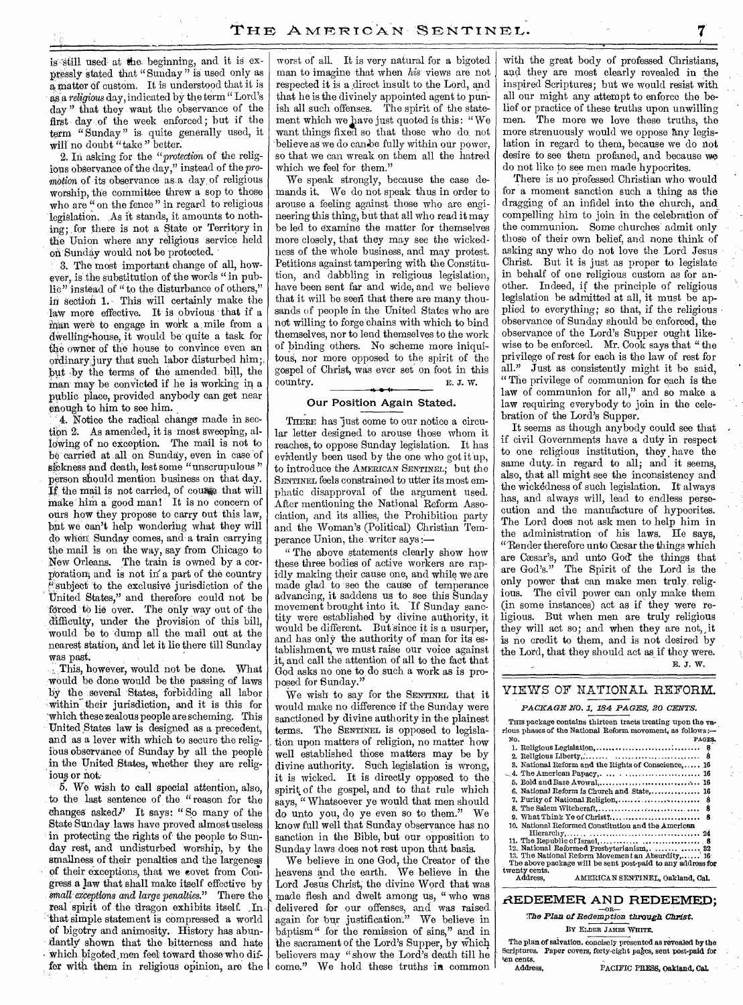is still used at the beginning, and it is expressly stated that "Sunday "is used only as a matter of custom. It is understood that it is as a *religious* day, indicated by the term "Lord's day " that they want the observance of the first day of the week enforced; but if the term "Sunday" is quite generally used, it will no doubt "take" better.

2. In asking for the *"protection* of the religious observance of the day," instead of the *promotion* of its observance as a day, of religious worship, the committee threw a sop to those who are " on the fence" in regard to religious legislation. As it stands, it amounts to nothing; for there is not a State or Territory in the Union where any religious service held on Sunday would not be protected.

3. The most important change of all, however, is the substitution of the words " in public" instead of "to the disturbance of others," in section 1. This will certainly make the law more effective. It is obvious that if a man were to engage in work a mile from a divelling-house, it would be, quite a task for the owner of the house to convince even an ordinary, jury that such labor disturbed him;. but by the terms of the amended, bill, the man may be convicted if he is working in a public place, provided anybody can get near enough to him, to see him.

4. Notice the radical change made in section 2. As amended, it is most sweeping, allowing of no exception. The mail is not to be carried at all on Sunday, even in case of sickness and death, lest some "unscrupulous" person should mention business on that day. If the mail is not carried, of course that will make him a good man! It is no concern of ours how they propose to carry out this law, but we can't help wondering what they will do when Sunday comes, and a train carrying the mail is on the way, say from Chicago to New Orleans. The train is owned by a corporation; and is not in a part of the country subject to, the exclusive jurisdiction of the United States," and therefore could not be forced to lie over. The only way out of the difficulty, under the provision of this bill, would be to dump all the mail out at the nearest station, and let it lie there till Sunday was past.

This, however, would not be done. What would be done would be the passing of laws by the several States, forbidding all labor within their jurisdiction, and it is this for 'which these zealous people are scheming. This United States law is designed as a precedent, and as a lever with which to secure the religious observance of Sunday by all the people in the United States, whether they are religious or not.

5. We wish to call special attention, also, to the last sentence of the "reason for the changes asked." It says: "So many of the State Sunday laws have proved almost useless in protecting the rights of the people to Sunday rest, and undisturbed worship, by the smallness of their penalties and the largeness of their exceptions, that we covet from Congress a Jaw that shall make itself effective by *emall-exeeptions and large penalties."* There the real spirit of the dragon exhibits itself. .In that simple statement is compressed a world of bigotry and animosity. History has abundantly shown that the bitterness and hate Which bigoted,men feel toward those who differ with them in religious opinion, are the

worst of all. It is very natural for a bigoted man to imagine that when *his'* views are not respected it is a direct insult to the Lord, and that he is the divinely appointed agent to punish all such offenses. The spirit of the statement which we have just quoted is this: "We want things fixed so that those who do not believe as we do can be fully within our power, so that we can wreak on them all the hatred which we feel for them."

We speak strongly, because the case demands it. We do not speak thus in order to arouse a feeling against those who are engineering this thing, but that all who read it may be led to examine the matter for themselves more closely, that they may see the wickedness of the whole business, and may protest. Petitions against tampering with the Constitution, and dabbling in religious legislation, have been sent far and wide, and we believe that it will be seen that there are many thousands of people in the United States who are not willing to forge chains with which to bind themselves, nor to lend themselves to the work of binding others. No scheme more iniquitous, nor more opposed to the spirit of the gospel of Christ, was ever set on foot in this country. E. J. W. 1.-• 4.

## Our Position Again Stated.

THERE has just come to our notice a circular letter designed to arouse those whom it reaches, to oppose Sunday legislation. It has evidently been used by the one who got it up, to introduce the AMERICAN SENTINEL; but the SENTINEL feels constrained to utter its most emphatic disapproval of the argument used. After mentioning the National Reform Association, and its allies, the Prohibition party and the Woman's (Political) Christian Temperance Union, the writer says :—

" The above statements clearly show how these three bodies of active workers are rapidly making their cause one, and while we are made glad to see the cause of temperance advancing, it saddens us to see this Sunday movement brought into it. If Sunday sanctity were established by divine authority, it would be different. But since it is a usurper, and has only the authority of man for its establishment, we must raise our voice against it, and call the attention of all to the fact that God asks no one to-do such a work as is proposed for Sunday."

We wish to say for the SENTINEL that it would make no difference if the Sunday were sanctioned by divine authority in the plainest terms. The SENTINEL is opposed to legisla tion upon matters of religion, no matter how well established those matters may be by divine authority. Such legislation is wrong, it is wicked. It is directly opposed to the spirit, of the gospel, and to that rule which says, " Whatsoever ye would that men should do unto you, do ye even so to them." We know full well that Sunday observance has no sanction in the Bible, but our opposition to Sunday laws does not rest upon that basis.

We believe in one God, the Creator of the heavens and the earth. We believe in the Lord Jesus Christ, the divine Word that was made flesh and dwelt among us, " who was delivered for our offenses, and was raised again for our justification." We believe in baptism" for the remission of sins," and in the sacrament of the Lord's Supper, by which believers may "show the Lord's death till he come." We hold these truths in common

with the great body of professed Christians, and they are most clearly revealed in the inspired Scriptures; but we would resist with all our might any attem pt to enforce the belief or practice of these truths upon unwilling men. The more we love these truths, the more strenuously would we oppose any legislation in regard to them, because we do not desire to see them profaned, and because we do not like to see men made hypocrites.

There is no professed Christian who would for a moment sanction such a thing as the dragging of an infidel into the church, and compelling him to join in the celebration of the communion. Some churches' admit only those of their own belief, and none think of asking any who do not love the Lord Jesus Christ. But it is just as proper to legislate in behalf of one religious custom as for another. Indeed, if the principle of religious legislation be admitted at all, it must be applied to everything; so that, if the religious observance of Sunday should be enforced, the observance of the Lord's Supper ought likewise to be enforced. Mr. Cook says that "the privilege of rest for each is the law of rest for all." Just as consistently might it be said, "The privilege of communion for each is the law of communion for all," and so make a law requiring everybody to join in the celebration of the Lord's Supper.

It seems as though anybody could see that if civil Governments have a duty in respect to one religious institution, they, have the same duty in regard to all; and it seems, also, that all might see the inconsistency and the wickddness of such legislation. It always has, and always will, lead to endless persecution and the manufacture of hypoorites. The Lord does not ask men to help him in the administration of his laws. He says, "'Render therefore unto Caesar the things which are Caesar's, and unto God' the things that are God's." The Spirit of the Lord is the only power that can make men truly. religious. The civil power can only make them (in some instances) act as if they were religious. But when men are truly religious they will act so; and when they are not, it is no credit to them, and is not desired by the Lord, that they should act as if they were. E. J. W.

## VIEWS OF NATIONAL REFORM.

### *PACKAGE NO. 1, 184 PAGES, 20 CENTS.*

| THIS package contains thirteen tracts treating upon the va- |
|-------------------------------------------------------------|
| rious phases of the National Reform movement, as follows:-  |
| NO.<br>PAGES.                                               |
|                                                             |
|                                                             |
| 3. National Reform and the Rights of Conscience, 16         |
|                                                             |
|                                                             |
| 6. National Reform is Church and State, 16                  |
|                                                             |
| 8                                                           |
| -8                                                          |
| 10. National Reformed Constitution and the American         |
|                                                             |
|                                                             |
| 12. National Reformed Presbyterianism,   32                 |
| 13. The National Reform Movement an Absurdity, 16           |
| The above package will be sent post-paid to any address for |
| twenty cents.                                               |
| Address,<br>AMERICAN SENTINEL, Oakland, Cal.                |
|                                                             |

## REDEEMER AND REDEEMED; —OR— *The Plan of Redemption through Christ.*

BY ELDER JAMES WHITE.

The plan of salvation, concisely presented as revealed by the Scriptures. Paper covers, forty-eight pages, sent post-paid for ten cents.<br>Address

Address, PACIFIC *PRESS,* Oakland, Cal